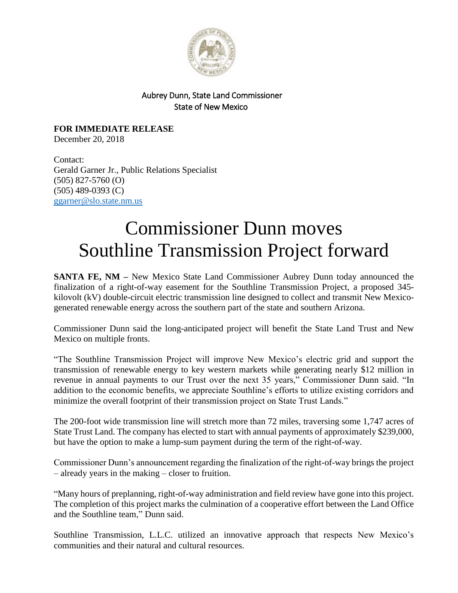

## Aubrey Dunn, State Land Commissioner State of New Mexico

**FOR IMMEDIATE RELEASE** December 20, 2018

Contact: Gerald Garner Jr., Public Relations Specialist (505) 827-5760 (O) (505) 489-0393 (C) [ggarner@slo.state.nm.us](mailto:ggarner@slo.state.nm.us)

## Commissioner Dunn moves Southline Transmission Project forward

**SANTA FE, NM –** New Mexico State Land Commissioner Aubrey Dunn today announced the finalization of a right-of-way easement for the Southline Transmission Project, a proposed 345 kilovolt (kV) double-circuit electric transmission line designed to collect and transmit New Mexicogenerated renewable energy across the southern part of the state and southern Arizona.

Commissioner Dunn said the long-anticipated project will benefit the State Land Trust and New Mexico on multiple fronts.

"The Southline Transmission Project will improve New Mexico's electric grid and support the transmission of renewable energy to key western markets while generating nearly \$12 million in revenue in annual payments to our Trust over the next 35 years," Commissioner Dunn said. "In addition to the economic benefits, we appreciate Southline's efforts to utilize existing corridors and minimize the overall footprint of their transmission project on State Trust Lands."

The 200-foot wide transmission line will stretch more than 72 miles, traversing some 1,747 acres of State Trust Land. The company has elected to start with annual payments of approximately \$239,000, but have the option to make a lump-sum payment during the term of the right-of-way.

Commissioner Dunn's announcement regarding the finalization of the right-of-way brings the project – already years in the making – closer to fruition.

"Many hours of preplanning, right-of-way administration and field review have gone into this project. The completion of this project marks the culmination of a cooperative effort between the Land Office and the Southline team," Dunn said.

Southline Transmission, L.L.C. utilized an innovative approach that respects New Mexico's communities and their natural and cultural resources.